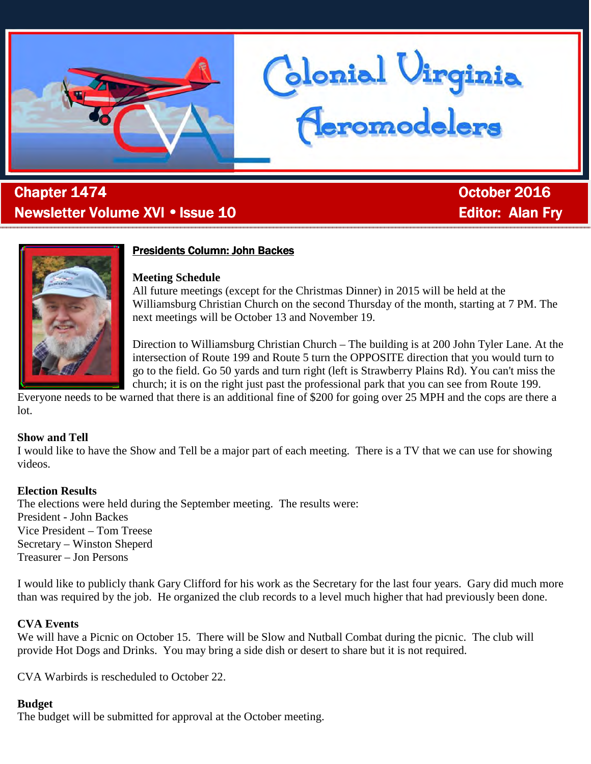

# . Chapter 1474 October October 2016 Newsletter Volume XVI • Issue 10 Editor: Alan Fry



# **Presidents Column: John Backes**

# **Meeting Schedule**

All future meetings (except for the Christmas Dinner) in 2015 will be held at the Williamsburg Christian Church on the second Thursday of the month, starting at 7 PM. The next meetings will be October 13 and November 19.

Glonial Uirginia<br>Ceromodelers

Direction to Williamsburg Christian Church – The building is at 200 John Tyler Lane. At the intersection of Route 199 and Route 5 turn the OPPOSITE direction that you would turn to go to the field. Go 50 yards and turn right (left is Strawberry Plains Rd). You can't miss the church; it is on the right just past the professional park that you can see from Route 199.

Everyone needs to be warned that there is an additional fine of \$200 for going over 25 MPH and the cops are there a lot.

# **Show and Tell**

I would like to have the Show and Tell be a major part of each meeting. There is a TV that we can use for showing videos.

# **Election Results**

The elections were held during the September meeting. The results were: President - John Backes Vice President – Tom Treese Secretary – Winston Sheperd Treasurer – Jon Persons

I would like to publicly thank Gary Clifford for his work as the Secretary for the last four years. Gary did much more than was required by the job. He organized the club records to a level much higher that had previously been done.

# **CVA Events**

We will have a Picnic on October 15. There will be Slow and Nutball Combat during the picnic. The club will provide Hot Dogs and Drinks. You may bring a side dish or desert to share but it is not required.

CVA Warbirds is rescheduled to October 22.

# **Budget**

The budget will be submitted for approval at the October meeting.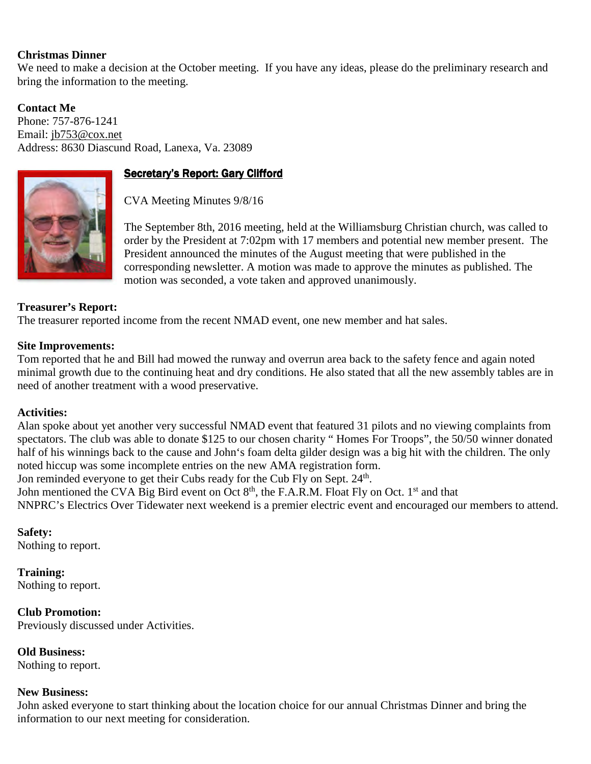# **Christmas Dinner**

We need to make a decision at the October meeting. If you have any ideas, please do the preliminary research and bring the information to the meeting.

**Contact Me**  Phone: 757-876-1241 Email: jb753@cox.net Address: 8630 Diascund Road, Lanexa, Va. 23089



# Secretary's Report: Gary Clifford

CVA Meeting Minutes 9/8/16

The September 8th, 2016 meeting, held at the Williamsburg Christian church, was called to order by the President at 7:02pm with 17 members and potential new member present. The President announced the minutes of the August meeting that were published in the corresponding newsletter. A motion was made to approve the minutes as published. The motion was seconded, a vote taken and approved unanimously.

# **Treasurer's Report:**

The treasurer reported income from the recent NMAD event, one new member and hat sales.

### **Site Improvements:**

Tom reported that he and Bill had mowed the runway and overrun area back to the safety fence and again noted minimal growth due to the continuing heat and dry conditions. He also stated that all the new assembly tables are in need of another treatment with a wood preservative.

# **Activities:**

Alan spoke about yet another very successful NMAD event that featured 31 pilots and no viewing complaints from spectators. The club was able to donate \$125 to our chosen charity " Homes For Troops", the 50/50 winner donated half of his winnings back to the cause and John's foam delta gilder design was a big hit with the children. The only noted hiccup was some incomplete entries on the new AMA registration form.

Jon reminded everyone to get their Cubs ready for the Cub Fly on Sept. 24<sup>th</sup>.

John mentioned the CVA Big Bird event on Oct 8<sup>th</sup>, the F.A.R.M. Float Fly on Oct. 1<sup>st</sup> and that NNPRC's Electrics Over Tidewater next weekend is a premier electric event and encouraged our members to attend.

**Safety:**  Nothing to report.

**Training:**  Nothing to report.

**Club Promotion:**  Previously discussed under Activities.

**Old Business:**  Nothing to report.

#### **New Business:**

John asked everyone to start thinking about the location choice for our annual Christmas Dinner and bring the information to our next meeting for consideration.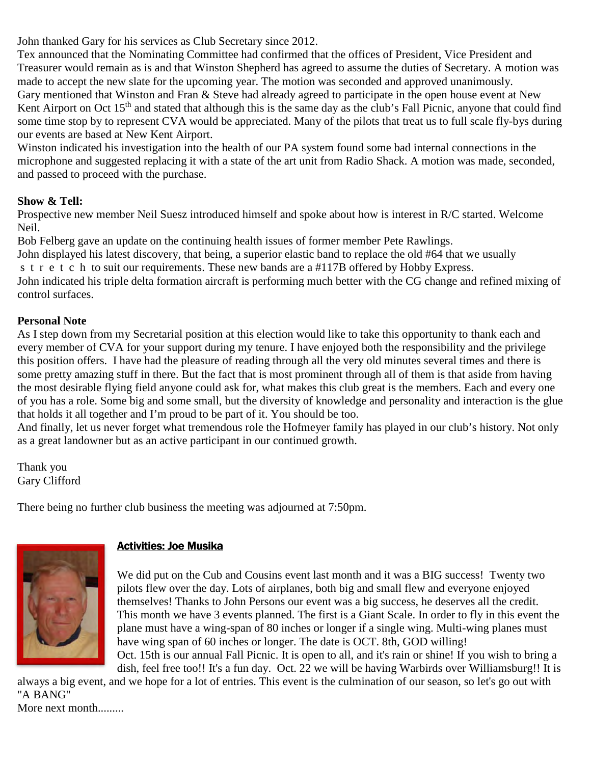John thanked Gary for his services as Club Secretary since 2012.

Tex announced that the Nominating Committee had confirmed that the offices of President, Vice President and Treasurer would remain as is and that Winston Shepherd has agreed to assume the duties of Secretary. A motion was made to accept the new slate for the upcoming year. The motion was seconded and approved unanimously. Gary mentioned that Winston and Fran & Steve had already agreed to participate in the open house event at New Kent Airport on Oct 15<sup>th</sup> and stated that although this is the same day as the club's Fall Picnic, anyone that could find some time stop by to represent CVA would be appreciated. Many of the pilots that treat us to full scale fly-bys during our events are based at New Kent Airport.

Winston indicated his investigation into the health of our PA system found some bad internal connections in the microphone and suggested replacing it with a state of the art unit from Radio Shack. A motion was made, seconded, and passed to proceed with the purchase.

# **Show & Tell:**

Prospective new member Neil Suesz introduced himself and spoke about how is interest in R/C started. Welcome Neil.

Bob Felberg gave an update on the continuing health issues of former member Pete Rawlings.

John displayed his latest discovery, that being, a superior elastic band to replace the old #64 that we usually

s t r e t c h to suit our requirements. These new bands are a #117B offered by Hobby Express.

John indicated his triple delta formation aircraft is performing much better with the CG change and refined mixing of control surfaces.

# **Personal Note**

As I step down from my Secretarial position at this election would like to take this opportunity to thank each and every member of CVA for your support during my tenure. I have enjoyed both the responsibility and the privilege this position offers. I have had the pleasure of reading through all the very old minutes several times and there is some pretty amazing stuff in there. But the fact that is most prominent through all of them is that aside from having the most desirable flying field anyone could ask for, what makes this club great is the members. Each and every one of you has a role. Some big and some small, but the diversity of knowledge and personality and interaction is the glue that holds it all together and I'm proud to be part of it. You should be too.

And finally, let us never forget what tremendous role the Hofmeyer family has played in our club's history. Not only as a great landowner but as an active participant in our continued growth.

Thank you Gary Clifford

There being no further club business the meeting was adjourned at 7:50pm.



# **Activities: Joe Musika**

We did put on the Cub and Cousins event last month and it was a BIG success! Twenty two pilots flew over the day. Lots of airplanes, both big and small flew and everyone enjoyed themselves! Thanks to John Persons our event was a big success, he deserves all the credit. This month we have 3 events planned. The first is a Giant Scale. In order to fly in this event the plane must have a wing-span of 80 inches or longer if a single wing. Multi-wing planes must have wing span of 60 inches or longer. The date is OCT. 8th, GOD willing! Oct. 15th is our annual Fall Picnic. It is open to all, and it's rain or shine! If you wish to bring a dish, feel free too!! It's a fun day. Oct. 22 we will be having Warbirds over Williamsburg!! It is

always a big event, and we hope for a lot of entries. This event is the culmination of our season, so let's go out with "A BANG"

More next month........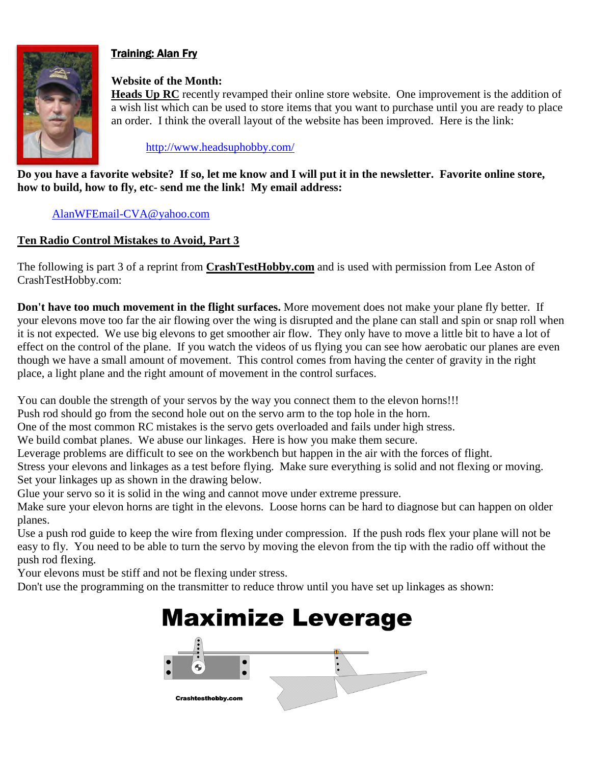

# **Training: Alan Fry**

# **Website of the Month:**

**Heads Up RC** recently revamped their online store website. One improvement is the addition of a wish list which can be used to store items that you want to purchase until you are ready to place an order. I think the overall layout of the website has been improved. Here is the link:

http://www.headsuphobby.com/

**Do you have a favorite website? If so, let me know and I will put it in the newsletter. Favorite online store, how to build, how to fly, etc- send me the link! My email address:** 

# AlanWFEmail-CVA@yahoo.com

# **Ten Radio Control Mistakes to Avoid, Part 3**

The following is part 3 of a reprint from **CrashTestHobby.com** and is used with permission from Lee Aston of CrashTestHobby.com:

**Don't have too much movement in the flight surfaces.** More movement does not make your plane fly better. If your elevons move too far the air flowing over the wing is disrupted and the plane can stall and spin or snap roll when it is not expected. We use big elevons to get smoother air flow. They only have to move a little bit to have a lot of effect on the control of the plane. If you watch the videos of us flying you can see how aerobatic our planes are even though we have a small amount of movement. This control comes from having the center of gravity in the right place, a light plane and the right amount of movement in the control surfaces.

You can double the strength of your servos by the way you connect them to the elevon horns!!!

Push rod should go from the second hole out on the servo arm to the top hole in the horn.

One of the most common RC mistakes is the servo gets overloaded and fails under high stress.

We build combat planes. We abuse our linkages. Here is how you make them secure.

Leverage problems are difficult to see on the workbench but happen in the air with the forces of flight.

Stress your elevons and linkages as a test before flying. Make sure everything is solid and not flexing or moving. Set your linkages up as shown in the drawing below.

Glue your servo so it is solid in the wing and cannot move under extreme pressure.

Make sure your elevon horns are tight in the elevons. Loose horns can be hard to diagnose but can happen on older planes.

Use a push rod guide to keep the wire from flexing under compression. If the push rods flex your plane will not be easy to fly. You need to be able to turn the servo by moving the elevon from the tip with the radio off without the push rod flexing.

Your elevons must be stiff and not be flexing under stress.

Don't use the programming on the transmitter to reduce throw until you have set up linkages as shown:

# **Maximize Leverage**  $\overline{\phantom{a}}$ **Crashtesthobby.com**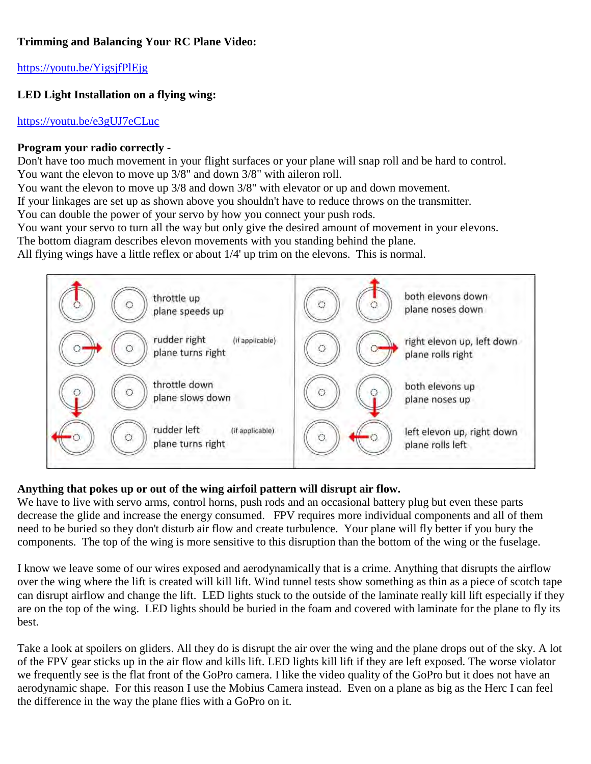# **Trimming and Balancing Your RC Plane Video:**

https://youtu.be/YigsjfPlEjg

# **LED Light Installation on a flying wing:**

# https://youtu.be/e3gUJ7eCLuc

# **Program your radio correctly** -

Don't have too much movement in your flight surfaces or your plane will snap roll and be hard to control. You want the elevon to move up 3/8" and down 3/8" with aileron roll.

You want the elevon to move up 3/8 and down 3/8" with elevator or up and down movement.

If your linkages are set up as shown above you shouldn't have to reduce throws on the transmitter.

You can double the power of your servo by how you connect your push rods.

You want your servo to turn all the way but only give the desired amount of movement in your elevons.

The bottom diagram describes elevon movements with you standing behind the plane.

All flying wings have a little reflex or about 1/4' up trim on the elevons. This is normal.



# **Anything that pokes up or out of the wing airfoil pattern will disrupt air flow.**

We have to live with servo arms, control horns, push rods and an occasional battery plug but even these parts decrease the glide and increase the energy consumed. FPV requires more individual components and all of them need to be buried so they don't disturb air flow and create turbulence. Your plane will fly better if you bury the components. The top of the wing is more sensitive to this disruption than the bottom of the wing or the fuselage.

I know we leave some of our wires exposed and aerodynamically that is a crime. Anything that disrupts the airflow over the wing where the lift is created will kill lift. Wind tunnel tests show something as thin as a piece of scotch tape can disrupt airflow and change the lift. LED lights stuck to the outside of the laminate really kill lift especially if they are on the top of the wing. LED lights should be buried in the foam and covered with laminate for the plane to fly its best.

Take a look at spoilers on gliders. All they do is disrupt the air over the wing and the plane drops out of the sky. A lot of the FPV gear sticks up in the air flow and kills lift. LED lights kill lift if they are left exposed. The worse violator we frequently see is the flat front of the GoPro camera. I like the video quality of the GoPro but it does not have an aerodynamic shape. For this reason I use the Mobius Camera instead. Even on a plane as big as the Herc I can feel the difference in the way the plane flies with a GoPro on it.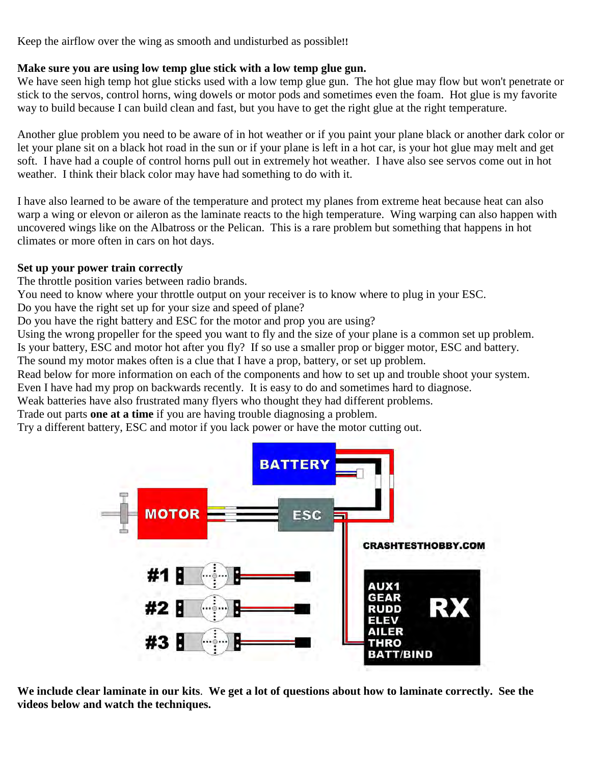Keep the airflow over the wing as smooth and undisturbed as possible**!!**

# **Make sure you are using low temp glue stick with a low temp glue gun.**

We have seen high temp hot glue sticks used with a low temp glue gun. The hot glue may flow but won't penetrate or stick to the servos, control horns, wing dowels or motor pods and sometimes even the foam. Hot glue is my favorite way to build because I can build clean and fast, but you have to get the right glue at the right temperature.

Another glue problem you need to be aware of in hot weather or if you paint your plane black or another dark color or let your plane sit on a black hot road in the sun or if your plane is left in a hot car, is your hot glue may melt and get soft. I have had a couple of control horns pull out in extremely hot weather. I have also see servos come out in hot weather. I think their black color may have had something to do with it.

I have also learned to be aware of the temperature and protect my planes from extreme heat because heat can also warp a wing or elevon or aileron as the laminate reacts to the high temperature. Wing warping can also happen with uncovered wings like on the Albatross or the Pelican. This is a rare problem but something that happens in hot climates or more often in cars on hot days.

# **Set up your power train correctly**

The throttle position varies between radio brands.

You need to know where your throttle output on your receiver is to know where to plug in your ESC.

Do you have the right set up for your size and speed of plane?

Do you have the right battery and ESC for the motor and prop you are using?

Using the wrong propeller for the speed you want to fly and the size of your plane is a common set up problem.

Is your battery, ESC and motor hot after you fly? If so use a smaller prop or bigger motor, ESC and battery.

The sound my motor makes often is a clue that I have a prop, battery, or set up problem.

Read below for more information on each of the components and how to set up and trouble shoot your system.

Even I have had my prop on backwards recently. It is easy to do and sometimes hard to diagnose.

Weak batteries have also frustrated many flyers who thought they had different problems.

Trade out parts **one at a time** if you are having trouble diagnosing a problem.

Try a different battery, ESC and motor if you lack power or have the motor cutting out.



**We include clear laminate in our kits**. **We get a lot of questions about how to laminate correctly. See the videos below and watch the techniques.**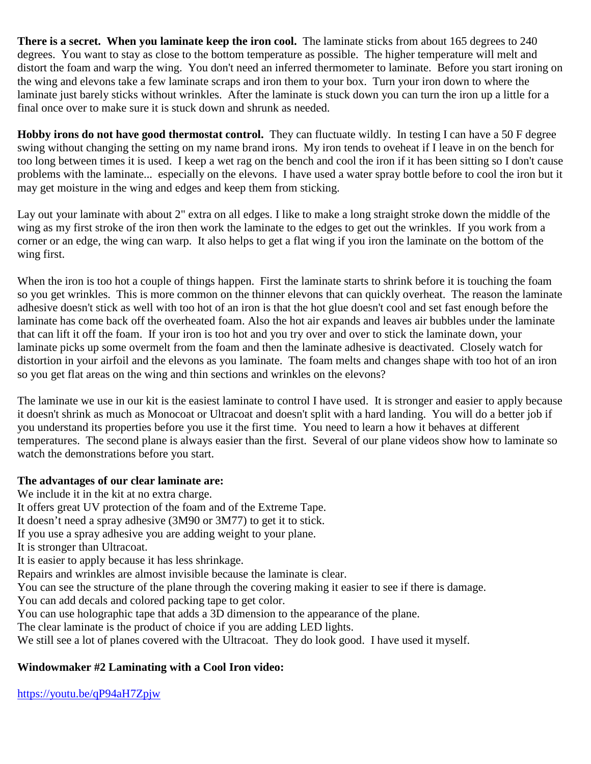**There is a secret. When you laminate keep the iron cool.** The laminate sticks from about 165 degrees to 240 degrees. You want to stay as close to the bottom temperature as possible. The higher temperature will melt and distort the foam and warp the wing. You don't need an inferred thermometer to laminate. Before you start ironing on the wing and elevons take a few laminate scraps and iron them to your box. Turn your iron down to where the laminate just barely sticks without wrinkles. After the laminate is stuck down you can turn the iron up a little for a final once over to make sure it is stuck down and shrunk as needed.

**Hobby irons do not have good thermostat control.** They can fluctuate wildly. In testing I can have a 50 F degree swing without changing the setting on my name brand irons. My iron tends to oveheat if I leave in on the bench for too long between times it is used. I keep a wet rag on the bench and cool the iron if it has been sitting so I don't cause problems with the laminate... especially on the elevons. I have used a water spray bottle before to cool the iron but it may get moisture in the wing and edges and keep them from sticking.

Lay out your laminate with about 2" extra on all edges. I like to make a long straight stroke down the middle of the wing as my first stroke of the iron then work the laminate to the edges to get out the wrinkles. If you work from a corner or an edge, the wing can warp. It also helps to get a flat wing if you iron the laminate on the bottom of the wing first.

When the iron is too hot a couple of things happen. First the laminate starts to shrink before it is touching the foam so you get wrinkles. This is more common on the thinner elevons that can quickly overheat. The reason the laminate adhesive doesn't stick as well with too hot of an iron is that the hot glue doesn't cool and set fast enough before the laminate has come back off the overheated foam. Also the hot air expands and leaves air bubbles under the laminate that can lift it off the foam. If your iron is too hot and you try over and over to stick the laminate down, your laminate picks up some overmelt from the foam and then the laminate adhesive is deactivated. Closely watch for distortion in your airfoil and the elevons as you laminate. The foam melts and changes shape with too hot of an iron so you get flat areas on the wing and thin sections and wrinkles on the elevons?

The laminate we use in our kit is the easiest laminate to control I have used. It is stronger and easier to apply because it doesn't shrink as much as Monocoat or Ultracoat and doesn't split with a hard landing. You will do a better job if you understand its properties before you use it the first time. You need to learn a how it behaves at different temperatures. The second plane is always easier than the first. Several of our plane videos show how to laminate so watch the demonstrations before you start.

# **The advantages of our clear laminate are:**

We include it in the kit at no extra charge.

It offers great UV protection of the foam and of the Extreme Tape.

It doesn't need a spray adhesive (3M90 or 3M77) to get it to stick.

If you use a spray adhesive you are adding weight to your plane.

It is stronger than Ultracoat.

It is easier to apply because it has less shrinkage.

Repairs and wrinkles are almost invisible because the laminate is clear.

You can see the structure of the plane through the covering making it easier to see if there is damage.

You can add decals and colored packing tape to get color.

You can use holographic tape that adds a 3D dimension to the appearance of the plane.

The clear laminate is the product of choice if you are adding LED lights.

We still see a lot of planes covered with the Ultracoat. They do look good. I have used it myself.

# **Windowmaker #2 Laminating with a Cool Iron video:**

https://youtu.be/qP94aH7Zpjw